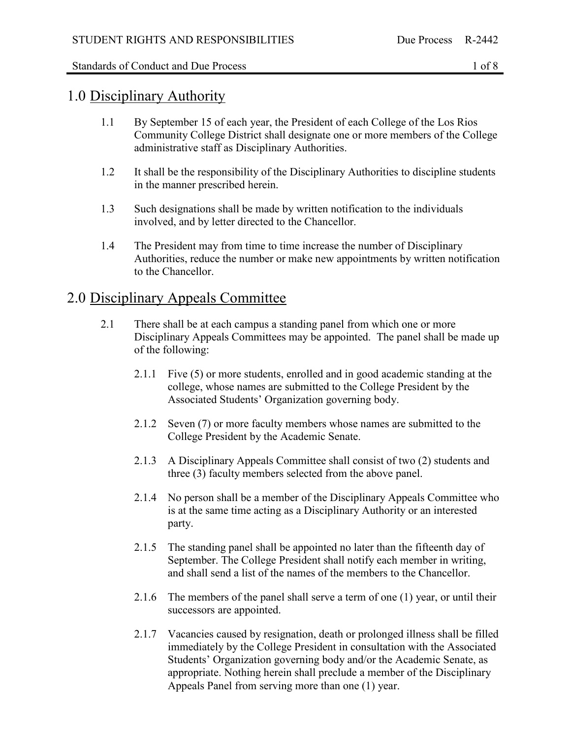#### Standards of Conduct and Due Process 1 of 8

#### 1.0 Disciplinary Authority

- 1.1 By September 15 of each year, the President of each College of the Los Rios Community College District shall designate one or more members of the College administrative staff as Disciplinary Authorities.
- 1.2 It shall be the responsibility of the Disciplinary Authorities to discipline students in the manner prescribed herein.
- 1.3 Such designations shall be made by written notification to the individuals involved, and by letter directed to the Chancellor.
- 1.4 The President may from time to time increase the number of Disciplinary Authorities, reduce the number or make new appointments by written notification to the Chancellor.

#### 2.0 Disciplinary Appeals Committee

- 2.1 There shall be at each campus a standing panel from which one or more Disciplinary Appeals Committees may be appointed. The panel shall be made up of the following:
	- 2.1.1 Five (5) or more students, enrolled and in good academic standing at the college, whose names are submitted to the College President by the Associated Students' Organization governing body.
	- 2.1.2 Seven (7) or more faculty members whose names are submitted to the College President by the Academic Senate.
	- 2.1.3 A Disciplinary Appeals Committee shall consist of two (2) students and three (3) faculty members selected from the above panel.
	- 2.1.4 No person shall be a member of the Disciplinary Appeals Committee who is at the same time acting as a Disciplinary Authority or an interested party.
	- 2.1.5 The standing panel shall be appointed no later than the fifteenth day of September. The College President shall notify each member in writing, and shall send a list of the names of the members to the Chancellor.
	- 2.1.6 The members of the panel shall serve a term of one (1) year, or until their successors are appointed.
	- 2.1.7 Vacancies caused by resignation, death or prolonged illness shall be filled immediately by the College President in consultation with the Associated Students' Organization governing body and/or the Academic Senate, as appropriate. Nothing herein shall preclude a member of the Disciplinary Appeals Panel from serving more than one (1) year.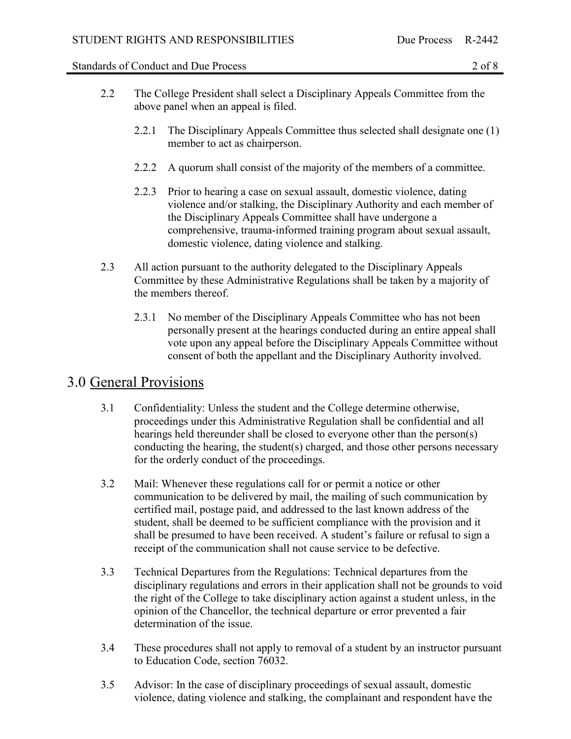#### Standards of Conduct and Due Process 2 of 8

- 2.2 The College President shall select a Disciplinary Appeals Committee from the above panel when an appeal is filed.
	- 2.2.1 The Disciplinary Appeals Committee thus selected shall designate one (1) member to act as chairperson.
	- 2.2.2 A quorum shall consist of the majority of the members of a committee.
	- 2.2.3 Prior to hearing a case on sexual assault, domestic violence, dating violence and/or stalking, the Disciplinary Authority and each member of the Disciplinary Appeals Committee shall have undergone a comprehensive, trauma-informed training program about sexual assault, domestic violence, dating violence and stalking.
- 2.3 All action pursuant to the authority delegated to the Disciplinary Appeals Committee by these Administrative Regulations shall be taken by a majority of the members thereof.
	- 2.3.1 No member of the Disciplinary Appeals Committee who has not been personally present at the hearings conducted during an entire appeal shall vote upon any appeal before the Disciplinary Appeals Committee without consent of both the appellant and the Disciplinary Authority involved.

## 3.0 General Provisions

- 3.1 Confidentiality: Unless the student and the College determine otherwise, proceedings under this Administrative Regulation shall be confidential and all hearings held thereunder shall be closed to everyone other than the person(s) conducting the hearing, the student(s) charged, and those other persons necessary for the orderly conduct of the proceedings.
- 3.2 Mail: Whenever these regulations call for or permit a notice or other communication to be delivered by mail, the mailing of such communication by certified mail, postage paid, and addressed to the last known address of the student, shall be deemed to be sufficient compliance with the provision and it shall be presumed to have been received. A student's failure or refusal to sign a receipt of the communication shall not cause service to be defective.
- 3.3 Technical Departures from the Regulations: Technical departures from the disciplinary regulations and errors in their application shall not be grounds to void the right of the College to take disciplinary action against a student unless, in the opinion of the Chancellor, the technical departure or error prevented a fair determination of the issue.
- 3.4 These procedures shall not apply to removal of a student by an instructor pursuant to Education Code, section 76032.
- 3.5 Advisor: In the case of disciplinary proceedings of sexual assault, domestic violence, dating violence and stalking, the complainant and respondent have the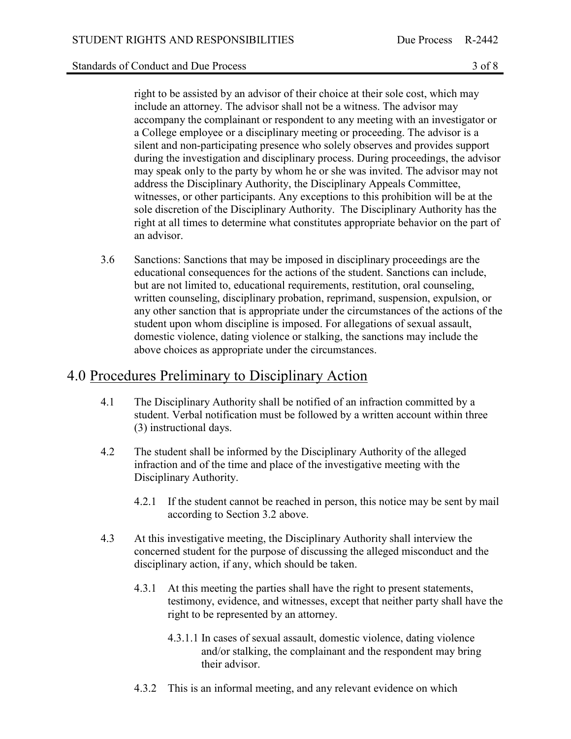right to be assisted by an advisor of their choice at their sole cost, which may include an attorney. The advisor shall not be a witness. The advisor may accompany the complainant or respondent to any meeting with an investigator or a College employee or a disciplinary meeting or proceeding. The advisor is a silent and non-participating presence who solely observes and provides support during the investigation and disciplinary process. During proceedings, the advisor may speak only to the party by whom he or she was invited. The advisor may not address the Disciplinary Authority, the Disciplinary Appeals Committee, witnesses, or other participants. Any exceptions to this prohibition will be at the sole discretion of the Disciplinary Authority. The Disciplinary Authority has the right at all times to determine what constitutes appropriate behavior on the part of an advisor.

3.6 Sanctions: Sanctions that may be imposed in disciplinary proceedings are the educational consequences for the actions of the student. Sanctions can include, but are not limited to, educational requirements, restitution, oral counseling, written counseling, disciplinary probation, reprimand, suspension, expulsion, or any other sanction that is appropriate under the circumstances of the actions of the student upon whom discipline is imposed. For allegations of sexual assault, domestic violence, dating violence or stalking, the sanctions may include the above choices as appropriate under the circumstances.

### 4.0 Procedures Preliminary to Disciplinary Action

- 4.1 The Disciplinary Authority shall be notified of an infraction committed by a student. Verbal notification must be followed by a written account within three (3) instructional days.
- 4.2 The student shall be informed by the Disciplinary Authority of the alleged infraction and of the time and place of the investigative meeting with the Disciplinary Authority.
	- 4.2.1 If the student cannot be reached in person, this notice may be sent by mail according to Section 3.2 above.
- 4.3 At this investigative meeting, the Disciplinary Authority shall interview the concerned student for the purpose of discussing the alleged misconduct and the disciplinary action, if any, which should be taken.
	- 4.3.1 At this meeting the parties shall have the right to present statements, testimony, evidence, and witnesses, except that neither party shall have the right to be represented by an attorney.
		- 4.3.1.1 In cases of sexual assault, domestic violence, dating violence and/or stalking, the complainant and the respondent may bring their advisor.
	- 4.3.2 This is an informal meeting, and any relevant evidence on which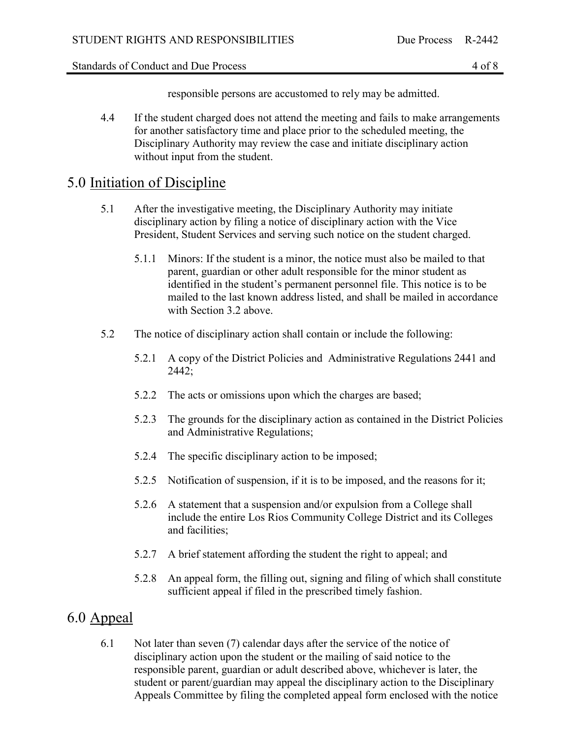Standards of Conduct and Due Process 4 of 8

responsible persons are accustomed to rely may be admitted.

4.4 If the student charged does not attend the meeting and fails to make arrangements for another satisfactory time and place prior to the scheduled meeting, the Disciplinary Authority may review the case and initiate disciplinary action without input from the student.

### 5.0 Initiation of Discipline

- 5.1 After the investigative meeting, the Disciplinary Authority may initiate disciplinary action by filing a notice of disciplinary action with the Vice President, Student Services and serving such notice on the student charged.
	- 5.1.1 Minors: If the student is a minor, the notice must also be mailed to that parent, guardian or other adult responsible for the minor student as identified in the student's permanent personnel file. This notice is to be mailed to the last known address listed, and shall be mailed in accordance with Section 3.2 above.
- 5.2 The notice of disciplinary action shall contain or include the following:
	- 5.2.1 A copy of the District Policies and Administrative Regulations 2441 and 2442;
	- 5.2.2 The acts or omissions upon which the charges are based;
	- 5.2.3 The grounds for the disciplinary action as contained in the District Policies and Administrative Regulations;
	- 5.2.4 The specific disciplinary action to be imposed;
	- 5.2.5 Notification of suspension, if it is to be imposed, and the reasons for it;
	- 5.2.6 A statement that a suspension and/or expulsion from a College shall include the entire Los Rios Community College District and its Colleges and facilities;
	- 5.2.7 A brief statement affording the student the right to appeal; and
	- 5.2.8 An appeal form, the filling out, signing and filing of which shall constitute sufficient appeal if filed in the prescribed timely fashion.

## 6.0 Appeal

6.1 Not later than seven (7) calendar days after the service of the notice of disciplinary action upon the student or the mailing of said notice to the responsible parent, guardian or adult described above, whichever is later, the student or parent/guardian may appeal the disciplinary action to the Disciplinary Appeals Committee by filing the completed appeal form enclosed with the notice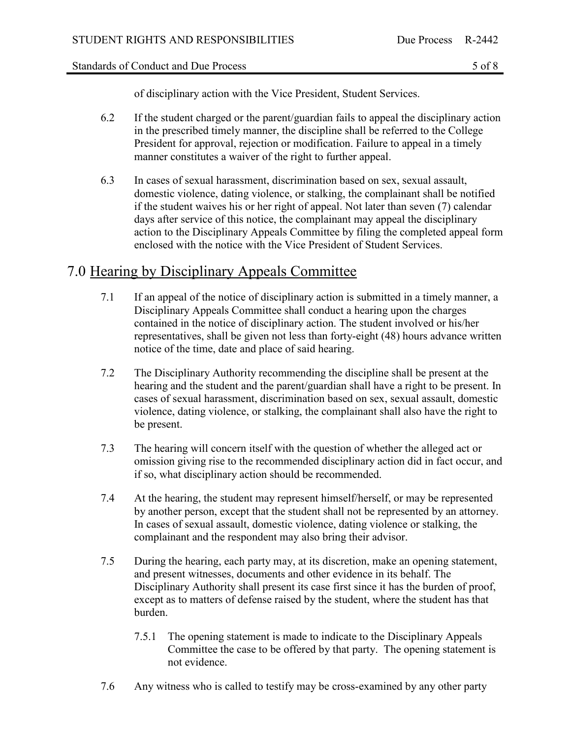of disciplinary action with the Vice President, Student Services.

- 6.2 If the student charged or the parent/guardian fails to appeal the disciplinary action in the prescribed timely manner, the discipline shall be referred to the College President for approval, rejection or modification. Failure to appeal in a timely manner constitutes a waiver of the right to further appeal.
- 6.3 In cases of sexual harassment, discrimination based on sex, sexual assault, domestic violence, dating violence, or stalking, the complainant shall be notified if the student waives his or her right of appeal. Not later than seven (7) calendar days after service of this notice, the complainant may appeal the disciplinary action to the Disciplinary Appeals Committee by filing the completed appeal form enclosed with the notice with the Vice President of Student Services.

# 7.0 Hearing by Disciplinary Appeals Committee

- 7.1 If an appeal of the notice of disciplinary action is submitted in a timely manner, a Disciplinary Appeals Committee shall conduct a hearing upon the charges contained in the notice of disciplinary action. The student involved or his/her representatives, shall be given not less than forty-eight (48) hours advance written notice of the time, date and place of said hearing.
- 7.2 The Disciplinary Authority recommending the discipline shall be present at the hearing and the student and the parent/guardian shall have a right to be present. In cases of sexual harassment, discrimination based on sex, sexual assault, domestic violence, dating violence, or stalking, the complainant shall also have the right to be present.
- 7.3 The hearing will concern itself with the question of whether the alleged act or omission giving rise to the recommended disciplinary action did in fact occur, and if so, what disciplinary action should be recommended.
- 7.4 At the hearing, the student may represent himself/herself, or may be represented by another person, except that the student shall not be represented by an attorney. In cases of sexual assault, domestic violence, dating violence or stalking, the complainant and the respondent may also bring their advisor.
- 7.5 During the hearing, each party may, at its discretion, make an opening statement, and present witnesses, documents and other evidence in its behalf. The Disciplinary Authority shall present its case first since it has the burden of proof, except as to matters of defense raised by the student, where the student has that burden.
	- 7.5.1 The opening statement is made to indicate to the Disciplinary Appeals Committee the case to be offered by that party. The opening statement is not evidence.
- 7.6 Any witness who is called to testify may be cross-examined by any other party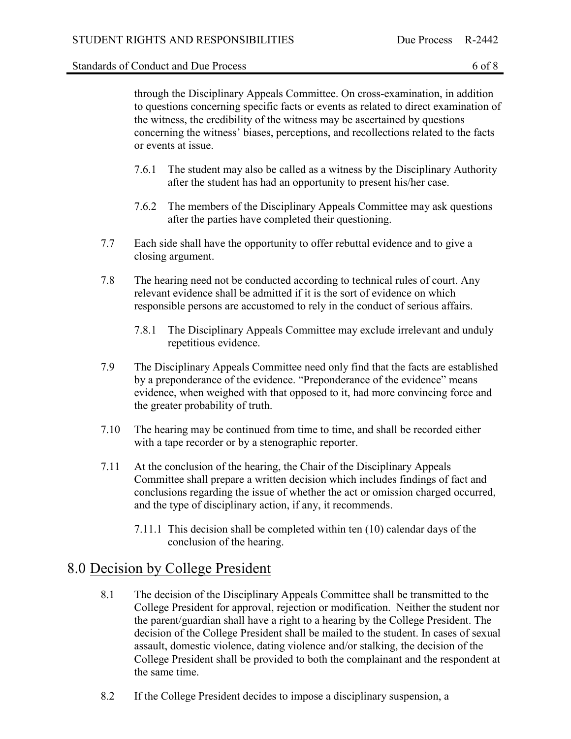through the Disciplinary Appeals Committee. On cross-examination, in addition to questions concerning specific facts or events as related to direct examination of the witness, the credibility of the witness may be ascertained by questions concerning the witness' biases, perceptions, and recollections related to the facts or events at issue.

- 7.6.1 The student may also be called as a witness by the Disciplinary Authority after the student has had an opportunity to present his/her case.
- 7.6.2 The members of the Disciplinary Appeals Committee may ask questions after the parties have completed their questioning.
- 7.7 Each side shall have the opportunity to offer rebuttal evidence and to give a closing argument.
- 7.8 The hearing need not be conducted according to technical rules of court. Any relevant evidence shall be admitted if it is the sort of evidence on which responsible persons are accustomed to rely in the conduct of serious affairs.
	- 7.8.1 The Disciplinary Appeals Committee may exclude irrelevant and unduly repetitious evidence.
- 7.9 The Disciplinary Appeals Committee need only find that the facts are established by a preponderance of the evidence. "Preponderance of the evidence" means evidence, when weighed with that opposed to it, had more convincing force and the greater probability of truth.
- 7.10 The hearing may be continued from time to time, and shall be recorded either with a tape recorder or by a stenographic reporter.
- 7.11 At the conclusion of the hearing, the Chair of the Disciplinary Appeals Committee shall prepare a written decision which includes findings of fact and conclusions regarding the issue of whether the act or omission charged occurred, and the type of disciplinary action, if any, it recommends.
	- 7.11.1 This decision shall be completed within ten (10) calendar days of the conclusion of the hearing.

## 8.0 Decision by College President

- 8.1 The decision of the Disciplinary Appeals Committee shall be transmitted to the College President for approval, rejection or modification. Neither the student nor the parent/guardian shall have a right to a hearing by the College President. The decision of the College President shall be mailed to the student. In cases of sexual assault, domestic violence, dating violence and/or stalking, the decision of the College President shall be provided to both the complainant and the respondent at the same time.
- 8.2 If the College President decides to impose a disciplinary suspension, a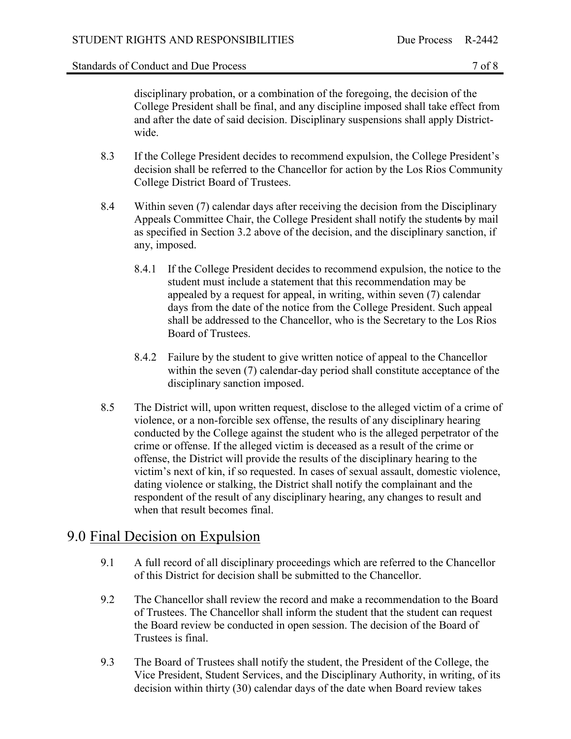disciplinary probation, or a combination of the foregoing, the decision of the College President shall be final, and any discipline imposed shall take effect from and after the date of said decision. Disciplinary suspensions shall apply Districtwide.

- 8.3 If the College President decides to recommend expulsion, the College President's decision shall be referred to the Chancellor for action by the Los Rios Community College District Board of Trustees.
- 8.4 Within seven (7) calendar days after receiving the decision from the Disciplinary Appeals Committee Chair, the College President shall notify the students by mail as specified in Section 3.2 above of the decision, and the disciplinary sanction, if any, imposed.
	- 8.4.1 If the College President decides to recommend expulsion, the notice to the student must include a statement that this recommendation may be appealed by a request for appeal, in writing, within seven (7) calendar days from the date of the notice from the College President. Such appeal shall be addressed to the Chancellor, who is the Secretary to the Los Rios Board of Trustees.
	- 8.4.2 Failure by the student to give written notice of appeal to the Chancellor within the seven (7) calendar-day period shall constitute acceptance of the disciplinary sanction imposed.
- 8.5 The District will, upon written request, disclose to the alleged victim of a crime of violence, or a non-forcible sex offense, the results of any disciplinary hearing conducted by the College against the student who is the alleged perpetrator of the crime or offense. If the alleged victim is deceased as a result of the crime or offense, the District will provide the results of the disciplinary hearing to the victim's next of kin, if so requested. In cases of sexual assault, domestic violence, dating violence or stalking, the District shall notify the complainant and the respondent of the result of any disciplinary hearing, any changes to result and when that result becomes final.

#### 9.0 Final Decision on Expulsion

- 9.1 A full record of all disciplinary proceedings which are referred to the Chancellor of this District for decision shall be submitted to the Chancellor.
- 9.2 The Chancellor shall review the record and make a recommendation to the Board of Trustees. The Chancellor shall inform the student that the student can request the Board review be conducted in open session. The decision of the Board of Trustees is final.
- 9.3 The Board of Trustees shall notify the student, the President of the College, the Vice President, Student Services, and the Disciplinary Authority, in writing, of its decision within thirty (30) calendar days of the date when Board review takes